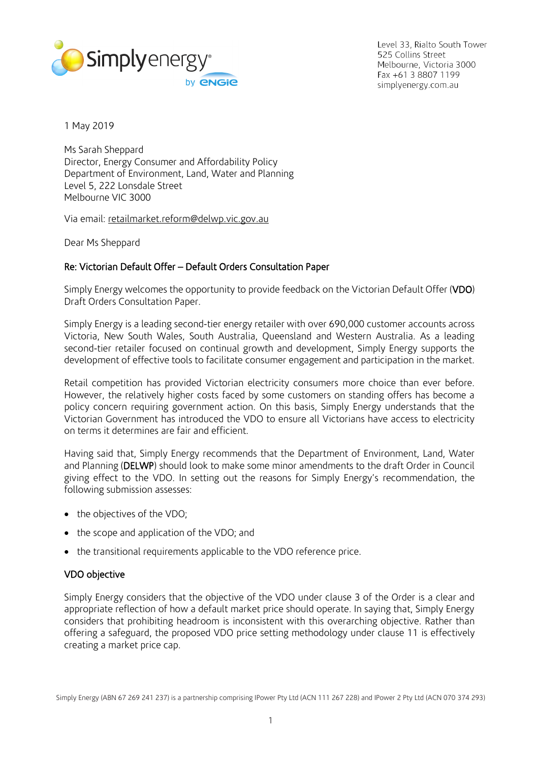

Level 33, Rialto South Tower 525 Collins Street Melbourne, Victoria 3000 Fax +61 3 8807 1199 simplyenergy.com.au

1 May 2019

Ms Sarah Sheppard Director, Energy Consumer and Affordability Policy Department of Environment, Land, Water and Planning Level 5, 222 Lonsdale Street Melbourne VIC 3000

Via email: [retailmarket.reform@delwp.vic.gov.au](mailto:retailmarket.reform@delwp.vic.gov.au)

Dear Ms Sheppard

# Re: Victorian Default Offer – Default Orders Consultation Paper

Simply Energy welcomes the opportunity to provide feedback on the Victorian Default Offer (VDO) Draft Orders Consultation Paper.

Simply Energy is a leading second-tier energy retailer with over 690,000 customer accounts across Victoria, New South Wales, South Australia, Queensland and Western Australia. As a leading second-tier retailer focused on continual growth and development, Simply Energy supports the development of effective tools to facilitate consumer engagement and participation in the market.

Retail competition has provided Victorian electricity consumers more choice than ever before. However, the relatively higher costs faced by some customers on standing offers has become a policy concern requiring government action. On this basis, Simply Energy understands that the Victorian Government has introduced the VDO to ensure all Victorians have access to electricity on terms it determines are fair and efficient.

Having said that, Simply Energy recommends that the Department of Environment, Land, Water and Planning (DELWP) should look to make some minor amendments to the draft Order in Council giving effect to the VDO. In setting out the reasons for Simply Energy's recommendation, the following submission assesses:

- the objectives of the VDO;
- the scope and application of the VDO; and
- the transitional requirements applicable to the VDO reference price.

# VDO objective

Simply Energy considers that the objective of the VDO under clause 3 of the Order is a clear and appropriate reflection of how a default market price should operate. In saying that, Simply Energy considers that prohibiting headroom is inconsistent with this overarching objective. Rather than offering a safeguard, the proposed VDO price setting methodology under clause 11 is effectively creating a market price cap.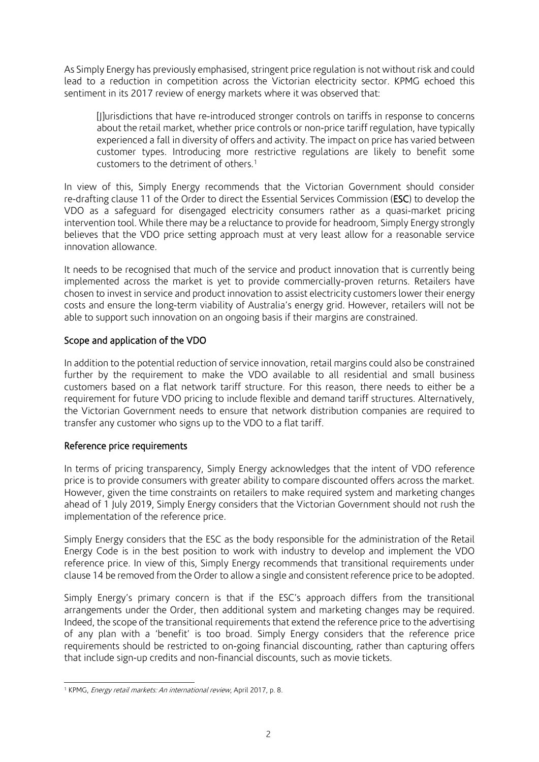As Simply Energy has previously emphasised, stringent price regulation is not without risk and could lead to a reduction in competition across the Victorian electricity sector. KPMG echoed this sentiment in its 2017 review of energy markets where it was observed that:

[J]urisdictions that have re-introduced stronger controls on tariffs in response to concerns about the retail market, whether price controls or non-price tariff regulation, have typically experienced a fall in diversity of offers and activity. The impact on price has varied between customer types. Introducing more restrictive regulations are likely to benefit some customers to the detriment of others.<sup>1</sup>

In view of this, Simply Energy recommends that the Victorian Government should consider re-drafting clause 11 of the Order to direct the Essential Services Commission (ESC) to develop the VDO as a safeguard for disengaged electricity consumers rather as a quasi-market pricing intervention tool. While there may be a reluctance to provide for headroom, Simply Energy strongly believes that the VDO price setting approach must at very least allow for a reasonable service innovation allowance.

It needs to be recognised that much of the service and product innovation that is currently being implemented across the market is yet to provide commercially-proven returns. Retailers have chosen to invest in service and product innovation to assist electricity customers lower their energy costs and ensure the long-term viability of Australia's energy grid. However, retailers will not be able to support such innovation on an ongoing basis if their margins are constrained.

# Scope and application of the VDO

In addition to the potential reduction of service innovation, retail margins could also be constrained further by the requirement to make the VDO available to all residential and small business customers based on a flat network tariff structure. For this reason, there needs to either be a requirement for future VDO pricing to include flexible and demand tariff structures. Alternatively, the Victorian Government needs to ensure that network distribution companies are required to transfer any customer who signs up to the VDO to a flat tariff.

# Reference price requirements

In terms of pricing transparency, Simply Energy acknowledges that the intent of VDO reference price is to provide consumers with greater ability to compare discounted offers across the market. However, given the time constraints on retailers to make required system and marketing changes ahead of 1 July 2019, Simply Energy considers that the Victorian Government should not rush the implementation of the reference price.

Simply Energy considers that the ESC as the body responsible for the administration of the Retail Energy Code is in the best position to work with industry to develop and implement the VDO reference price. In view of this, Simply Energy recommends that transitional requirements under clause 14 be removed from the Order to allow a single and consistent reference price to be adopted.

Simply Energy's primary concern is that if the ESC's approach differs from the transitional arrangements under the Order, then additional system and marketing changes may be required. Indeed, the scope of the transitional requirements that extend the reference price to the advertising of any plan with a 'benefit' is too broad. Simply Energy considers that the reference price requirements should be restricted to on-going financial discounting, rather than capturing offers that include sign-up credits and non-financial discounts, such as movie tickets.

 $\overline{a}$ <sup>1</sup> KPMG, *Energy retail markets: An international review*, April 2017, p. 8.